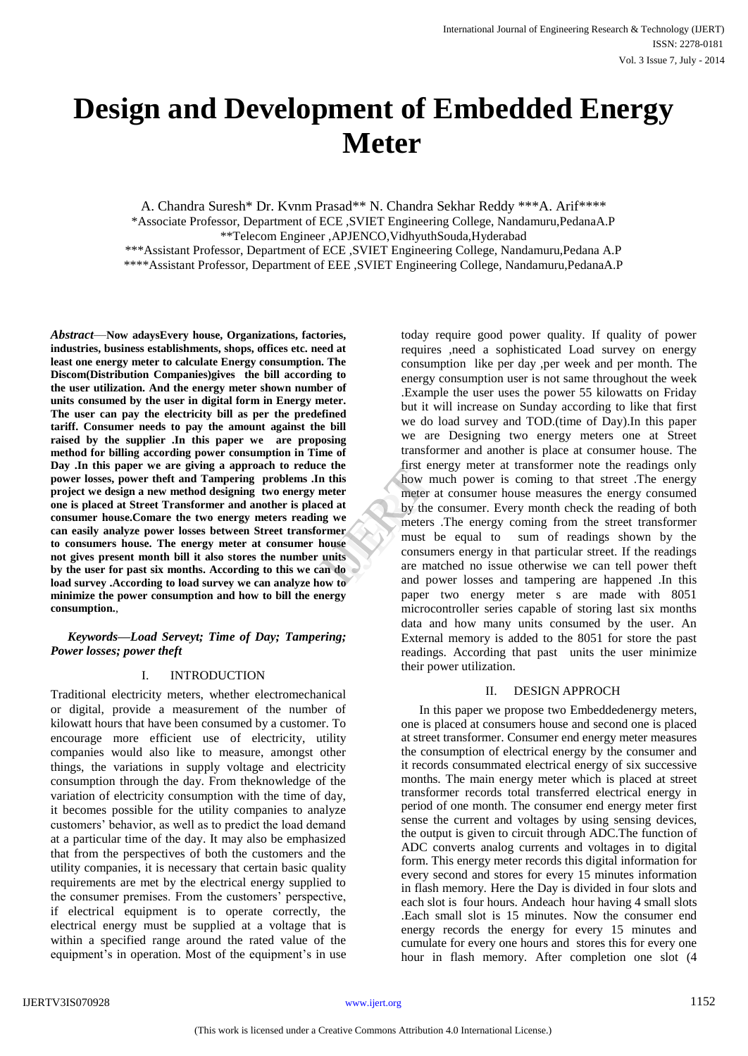# **Design and Development of Embedded Energy Meter**

A. Chandra Suresh\* Dr. Kvnm Prasad\*\* N. Chandra Sekhar Reddy \*\*\*A. Arif\*\*\*\* \*Associate Professor, Department of ECE ,SVIET Engineering College, Nandamuru,PedanaA.P \*\*Telecom Engineer ,APJENCO,VidhyuthSouda,Hyderabad \*\*\*Assistant Professor, Department of ECE ,SVIET Engineering College, Nandamuru,Pedana A.P \*\*\*\*Assistant Professor, Department of EEE ,SVIET Engineering College, Nandamuru,PedanaA.P

*Abstract*—**Now adaysEvery house, Organizations, factories, industries, business establishments, shops, offices etc. need at least one energy meter to calculate Energy consumption. The Discom(Distribution Companies)gives the bill according to the user utilization. And the energy meter shown number of units consumed by the user in digital form in Energy meter. The user can pay the electricity bill as per the predefined tariff. Consumer needs to pay the amount against the bill raised by the supplier .In this paper we are proposing method for billing according power consumption in Time of Day .In this paper we are giving a approach to reduce the power losses, power theft and Tampering problems .In this project we design a new method designing two energy meter one is placed at Street Transformer and another is placed at consumer house.Comare the two energy meters reading we can easily analyze power losses between Street transformer to consumers house. The energy meter at consumer house not gives present month bill it also stores the number units by the user for past six months. According to this we can do load survey .According to load survey we can analyze how to minimize the power consumption and how to bill the energy consumption.**,

*Keywords—Load Serveyt; Time of Day; Tampering; Power losses; power theft*

# I. INTRODUCTION

Traditional electricity meters, whether electromechanical or digital, provide a measurement of the number of kilowatt hours that have been consumed by a customer. To encourage more efficient use of electricity, utility companies would also like to measure, amongst other things, the variations in supply voltage and electricity consumption through the day. From theknowledge of the variation of electricity consumption with the time of day, it becomes possible for the utility companies to analyze customers' behavior, as well as to predict the load demand at a particular time of the day. It may also be emphasized that from the perspectives of both the customers and the utility companies, it is necessary that certain basic quality requirements are met by the electrical energy supplied to the consumer premises. From the customers' perspective, if electrical equipment is to operate correctly, the electrical energy must be supplied at a voltage that is within a specified range around the rated value of the equipment's in operation. Most of the equipment's in use

today require good power quality. If quality of power requires ,need a sophisticated Load survey on energy consumption like per day ,per week and per month. The energy consumption user is not same throughout the week .Example the user uses the power 55 kilowatts on Friday but it will increase on Sunday according to like that first we do load survey and TOD.(time of Day).In this paper we are Designing two energy meters one at Street transformer and another is place at consumer house. The first energy meter at transformer note the readings only how much power is coming to that street .The energy meter at consumer house measures the energy consumed by the consumer. Every month check the reading of both meters .The energy coming from the street transformer must be equal to sum of readings shown by the consumers energy in that particular street. If the readings are matched no issue otherwise we can tell power theft and power losses and tampering are happened .In this paper two energy meter s are made with 8051 microcontroller series capable of storing last six months data and how many units consumed by the user. An External memory is added to the 8051 for store the past readings. According that past units the user minimize their power utilization. the<br>
this<br>
this<br>
this<br>
the comment of the comment<br>
that<br>
the consumer<br>
the consumer<br>
the consumer<br>
and now<br>
the and now<br>
the and now<br>
the and now<br>
the and now<br>
the and now<br>
the and now<br>
the and now<br>
the and now<br>
the and no

## II. DESIGN APPROCH

In this paper we propose two Embeddedenergy meters, one is placed at consumers house and second one is placed at street transformer. Consumer end energy meter measures the consumption of electrical energy by the consumer and it records consummated electrical energy of six successive months. The main energy meter which is placed at street transformer records total transferred electrical energy in period of one month. The consumer end energy meter first sense the current and voltages by using sensing devices, the output is given to circuit through ADC.The function of ADC converts analog currents and voltages in to digital form. This energy meter records this digital information for every second and stores for every 15 minutes information in flash memory. Here the Day is divided in four slots and each slot is four hours. Andeach hour having 4 small slots .Each small slot is 15 minutes. Now the consumer end energy records the energy for every 15 minutes and cumulate for every one hours and stores this for every one hour in flash memory. After completion one slot (4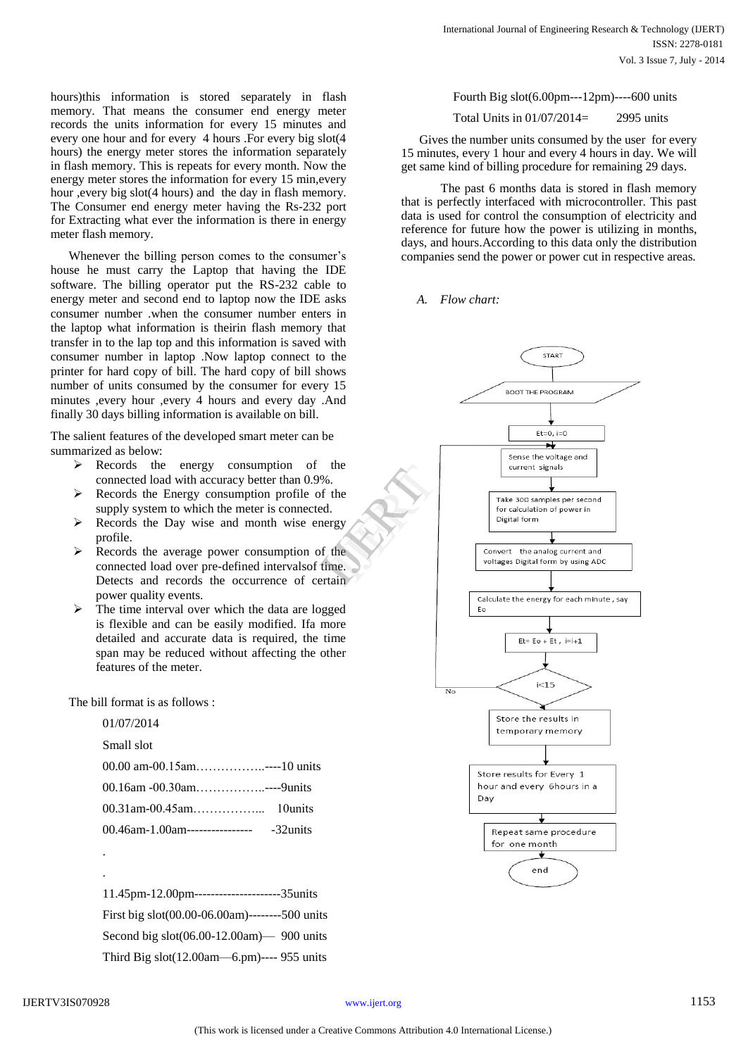hours)this information is stored separately in flash memory. That means the consumer end energy meter records the units information for every 15 minutes and every one hour and for every 4 hours .For every big slot(4 hours) the energy meter stores the information separately in flash memory. This is repeats for every month. Now the energy meter stores the information for every 15 min,every hour ,every big slot(4 hours) and the day in flash memory. The Consumer end energy meter having the Rs-232 port for Extracting what ever the information is there in energy meter flash memory.

Whenever the billing person comes to the consumer's house he must carry the Laptop that having the IDE software. The billing operator put the RS-232 cable to energy meter and second end to laptop now the IDE asks consumer number .when the consumer number enters in the laptop what information is theirin flash memory that transfer in to the lap top and this information is saved with consumer number in laptop .Now laptop connect to the printer for hard copy of bill. The hard copy of bill shows number of units consumed by the consumer for every 15 minutes ,every hour ,every 4 hours and every day .And finally 30 days billing information is available on bill.

The salient features of the developed smart meter can be summarized as below:

- $\triangleright$  Records the energy consumption of the connected load with accuracy better than 0.9%.
- $\triangleright$  Records the Energy consumption profile of the supply system to which the meter is connected.
- $\triangleright$  Records the Day wise and month wise energy profile.
- $\triangleright$  Records the average power consumption of the connected load over pre-defined intervalsof time. Detects and records the occurrence of certain power quality events.
- $\triangleright$  The time interval over which the data are logged is flexible and can be easily modified. Ifa more detailed and accurate data is required, the time span may be reduced without affecting the other features of the meter.

The bill format is as follows :

01/07/2014

Small slot

| 00.00 am-00.15am----10 units   |           |
|--------------------------------|-----------|
| 00.16am -00.30am----9units     |           |
|                                |           |
| 00.46am-1.00am---------------- | -32 units |

. .

11.45pm-12.00pm---------------------35units First big slot(00.00-06.00am)--------500 units Second big slot(06.00-12.00am)— 900 units Third Big slot(12.00am—6.pm)---- 955 units

Fourth Big slot(6.00pm---12pm)----600 units

Total Units in 01/07/2014= 2995 units

Gives the number units consumed by the user for every 15 minutes, every 1 hour and every 4 hours in day. We will get same kind of billing procedure for remaining 29 days.

 The past 6 months data is stored in flash memory that is perfectly interfaced with microcontroller. This past data is used for control the consumption of electricity and reference for future how the power is utilizing in months, days, and hours.According to this data only the distribution companies send the power or power cut in respective areas.

## *A. Flow chart:*

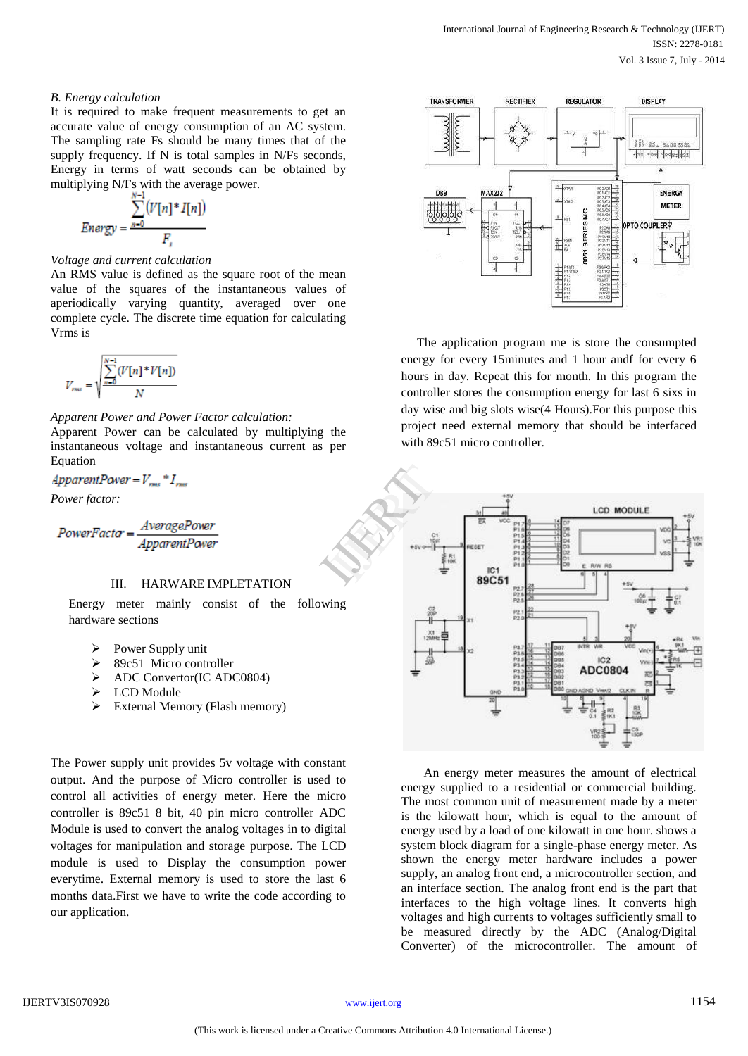## *B. Energy calculation*

It is required to make frequent measurements to get an accurate value of energy consumption of an AC system. The sampling rate Fs should be many times that of the supply frequency. If N is total samples in N/Fs seconds, Energy in terms of watt seconds can be obtained by multiplying N/Fs with the average power.

$$
Energy = \frac{\sum_{n=0}^{n-1} (V[n]^* I[n])}{F_s}
$$

#### *Voltage and current calculation*

An RMS value is defined as the square root of the mean value of the squares of the instantaneous values of aperiodically varying quantity, averaged over one complete cycle. The discrete time equation for calculating Vrms is

$$
V_{\textit{rms}} = \sqrt{\frac{\sum\limits_{n=0}^{N-1} (V[n]^*V[n])}{N}}
$$

## *Apparent Power and Power Factor calculation:*

Apparent Power can be calculated by multiplying the instantaneous voltage and instantaneous current as per Equation

ApparentPower =  $V_{\text{rms}}$  \*  $I_{\text{rms}}$ 

*Power factor:*

 $PowerFactor = \frac{AveragePower}{ApparentPower}$ 

# III. HARWARE IMPLETATION

Energy meter mainly consist of the following hardware sections

- $\triangleright$  Power Supply unit
- 89c51 Micro controller
- > ADC Convertor(IC ADC0804)
- > LCD Module
- $\triangleright$  External Memory (Flash memory)

The Power supply unit provides 5v voltage with constant output. And the purpose of Micro controller is used to control all activities of energy meter. Here the micro controller is 89c51 8 bit, 40 pin micro controller ADC Module is used to convert the analog voltages in to digital voltages for manipulation and storage purpose. The LCD module is used to Display the consumption power everytime. External memory is used to store the last 6 months data.First we have to write the code according to our application.



 The application program me is store the consumpted energy for every 15minutes and 1 hour andf for every 6 hours in day. Repeat this for month. In this program the controller stores the consumption energy for last 6 sixs in day wise and big slots wise(4 Hours).For this purpose this project need external memory that should be interfaced with 89c51 micro controller.



An energy meter measures the amount of electrical energy supplied to a residential or commercial building. The most common unit of measurement made by a meter is the kilowatt hour, which is equal to the amount of energy used by a load of one kilowatt in one hour. shows a system block diagram for a single-phase energy meter. As shown the energy meter hardware includes a power supply, an analog front end, a microcontroller section, and an interface section. The analog front end is the part that interfaces to the high voltage lines. It converts high voltages and high currents to voltages sufficiently small to be measured directly by the ADC (Analog/Digital Converter) of the microcontroller. The amount of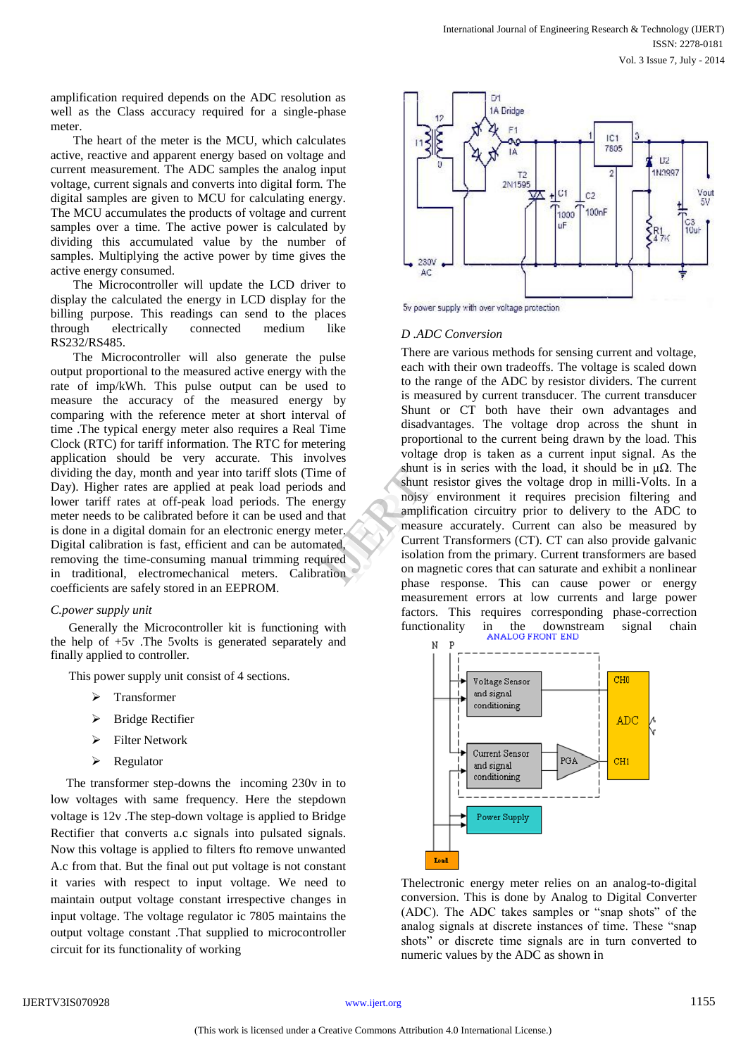amplification required depends on the ADC resolution as well as the Class accuracy required for a single-phase meter.

The heart of the meter is the MCU, which calculates active, reactive and apparent energy based on voltage and current measurement. The ADC samples the analog input voltage, current signals and converts into digital form. The digital samples are given to MCU for calculating energy. The MCU accumulates the products of voltage and current samples over a time. The active power is calculated by dividing this accumulated value by the number of samples. Multiplying the active power by time gives the active energy consumed.

The Microcontroller will update the LCD driver to display the calculated the energy in LCD display for the billing purpose. This readings can send to the places through electrically connected medium like RS232/RS485.

The Microcontroller will also generate the pulse output proportional to the measured active energy with the rate of imp/kWh. This pulse output can be used to measure the accuracy of the measured energy by comparing with the reference meter at short interval of time .The typical energy meter also requires a Real Time Clock (RTC) for tariff information. The RTC for metering application should be very accurate. This involves dividing the day, month and year into tariff slots (Time of Day). Higher rates are applied at peak load periods and lower tariff rates at off-peak load periods. The energy meter needs to be calibrated before it can be used and that is done in a digital domain for an electronic energy meter. Digital calibration is fast, efficient and can be automated, removing the time-consuming manual trimming required in traditional, electromechanical meters. Calibration coefficients are safely stored in an EEPROM.

## *C.power supply unit*

Generally the Microcontroller kit is functioning with the help of +5v .The 5volts is generated separately and finally applied to controller.

This power supply unit consist of 4 sections.

- > Transformer
- > Bridge Rectifier
- > Filter Network
- $\triangleright$  Regulator

 The transformer step-downs the incoming 230v in to low voltages with same frequency. Here the stepdown voltage is 12v .The step-down voltage is applied to Bridge Rectifier that converts a.c signals into pulsated signals. Now this voltage is applied to filters fto remove unwanted A.c from that. But the final out put voltage is not constant it varies with respect to input voltage. We need to maintain output voltage constant irrespective changes in input voltage. The voltage regulator ic 7805 maintains the output voltage constant .That supplied to microcontroller circuit for its functionality of working



5v power supply with over voltage protection

#### *D .ADC Conversion*

There are various methods for sensing current and voltage, each with their own tradeoffs. The voltage is scaled down to the range of the ADC by resistor dividers. The current is measured by current transducer. The current transducer Shunt or CT both have their own advantages and disadvantages. The voltage drop across the shunt in proportional to the current being drawn by the load. This voltage drop is taken as a current input signal. As the shunt is in series with the load, it should be in  $\mu\Omega$ . The shunt resistor gives the voltage drop in milli-Volts. In a noisy environment it requires precision filtering and amplification circuitry prior to delivery to the ADC to measure accurately. Current can also be measured by Current Transformers (CT). CT can also provide galvanic isolation from the primary. Current transformers are based on magnetic cores that can saturate and exhibit a nonlinear phase response. This can cause power or energy measurement errors at low currents and large power factors. This requires corresponding phase-correction functionality in the downstream signal chain FREE STREET SIGNAL STREET SIGNATION SIGNATION CONTINUES AND THE SIGNATION OF THE SOLUTION OF THE SOLUTION OF THE SOLUTION OF THE SOLUTION OF THE SOLUTION OF THE SOLUTION OF THE SOLUTION OF THE SOLUTION OF THE SOLUTION OF T



Thelectronic energy meter relies on an analog-to-digital conversion. This is done by Analog to Digital Converter (ADC). The ADC takes samples or "snap shots" of the analog signals at discrete instances of time. These "snap shots" or discrete time signals are in turn converted to numeric values by the ADC as shown in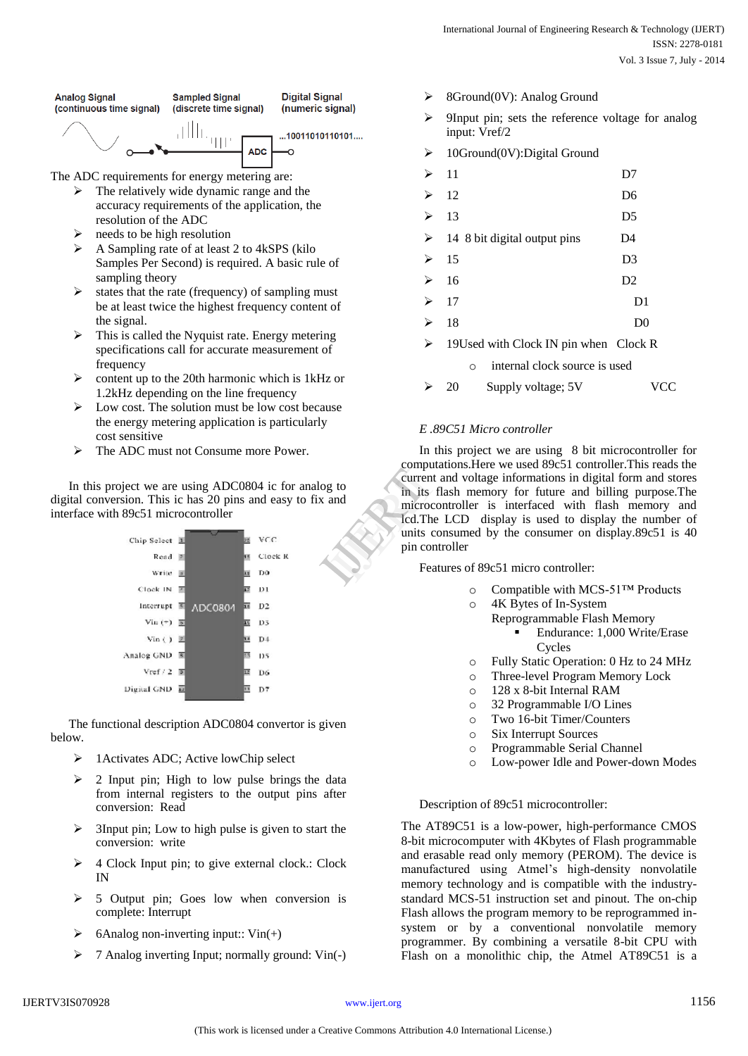

- $\triangleright$  The relatively wide dynamic range and the accuracy requirements of the application, the resolution of the ADC
- $\triangleright$  needs to be high resolution
- $\triangleright$  A Sampling rate of at least 2 to 4kSPS (kilo Samples Per Second) is required. A basic rule of sampling theory
- $\triangleright$  states that the rate (frequency) of sampling must be at least twice the highest frequency content of the signal.
- $\triangleright$  This is called the Nyquist rate. Energy metering specifications call for accurate measurement of frequency
- $\triangleright$  content up to the 20th harmonic which is 1kHz or 1.2kHz depending on the line frequency
- $\triangleright$  Low cost. The solution must be low cost because the energy metering application is particularly cost sensitive
- > The ADC must not Consume more Power.

In this project we are using ADC0804 ic for analog to digital conversion. This ic has 20 pins and easy to fix and interface with 89c51 microcontroller



The functional description ADC0804 convertor is given below.

- 1Activates ADC; Active lowChip select
- $\geq$  2 Input pin; High to low pulse brings the data from internal registers to the output pins after conversion: Read
- $\geq$  3Input pin; Low to high pulse is given to start the conversion: write
- $\triangleright$  4 Clock Input pin; to give external clock.: Clock IN
- $\geq$  5 Output pin; Goes low when conversion is complete: Interrupt
- $\triangleright$  6Analog non-inverting input:: Vin(+)
- 7 Analog inverting Input; normally ground: Vin(-)
- 8Ground(0V): Analog Ground
- 9Input pin; sets the reference voltage for analog input: Vref/2
- 10Ground(0V):Digital Ground

|   | 11                                        | D7             |
|---|-------------------------------------------|----------------|
| ⋗ | 12                                        | D <sub>6</sub> |
| ⋗ | 13                                        | D5             |
| ⋗ | 14 8 bit digital output pins              | D4             |
| ≻ | 15                                        | D <sub>3</sub> |
| ⋗ | 16                                        | D <sub>2</sub> |
| ⋗ | 17                                        | D1             |
| ↘ | 18                                        | $_{\rm D0}$    |
| ⋗ | 19 Used with Clock IN pin when Clock R    |                |
|   | internal clock source is used<br>$\Omega$ |                |
|   | Supply voltage; 5V<br>20                  |                |

# *E .89C51 Micro controller*

In this project we are using 8 bit microcontroller for computations.Here we used 89c51 controller.This reads the current and voltage informations in digital form and stores in its flash memory for future and billing purpose.The microcontroller is interfaced with flash memory and lcd.The LCD display is used to display the number of units consumed by the consumer on display.89c51 is 40 pin controller Exemplidation<br>
Fraction<br>
In the Indian School and<br>
Interaction<br>
Interaction<br>
Interaction<br>
Featur<br>
Featur

Features of 89c51 micro controller:

- o Compatible with MCS-51™ Products
- o 4K Bytes of In-System
	- Reprogrammable Flash Memory Endurance: 1,000 Write/Erase Cycles
- o Fully Static Operation: 0 Hz to 24 MHz
- o Three-level Program Memory Lock
- o 128 x 8-bit Internal RAM
- o 32 Programmable I/O Lines
- o Two 16-bit Timer/Counters
- o Six Interrupt Sources
- o Programmable Serial Channel
- o Low-power Idle and Power-down Modes

## Description of 89c51 microcontroller:

The AT89C51 is a low-power, high-performance CMOS 8-bit microcomputer with 4Kbytes of Flash programmable and erasable read only memory (PEROM). The device is manufactured using Atmel's high-density nonvolatile memory technology and is compatible with the industrystandard MCS-51 instruction set and pinout. The on-chip Flash allows the program memory to be reprogrammed insystem or by a conventional nonvolatile memory programmer. By combining a versatile 8-bit CPU with Flash on a monolithic chip, the Atmel AT89C51 is a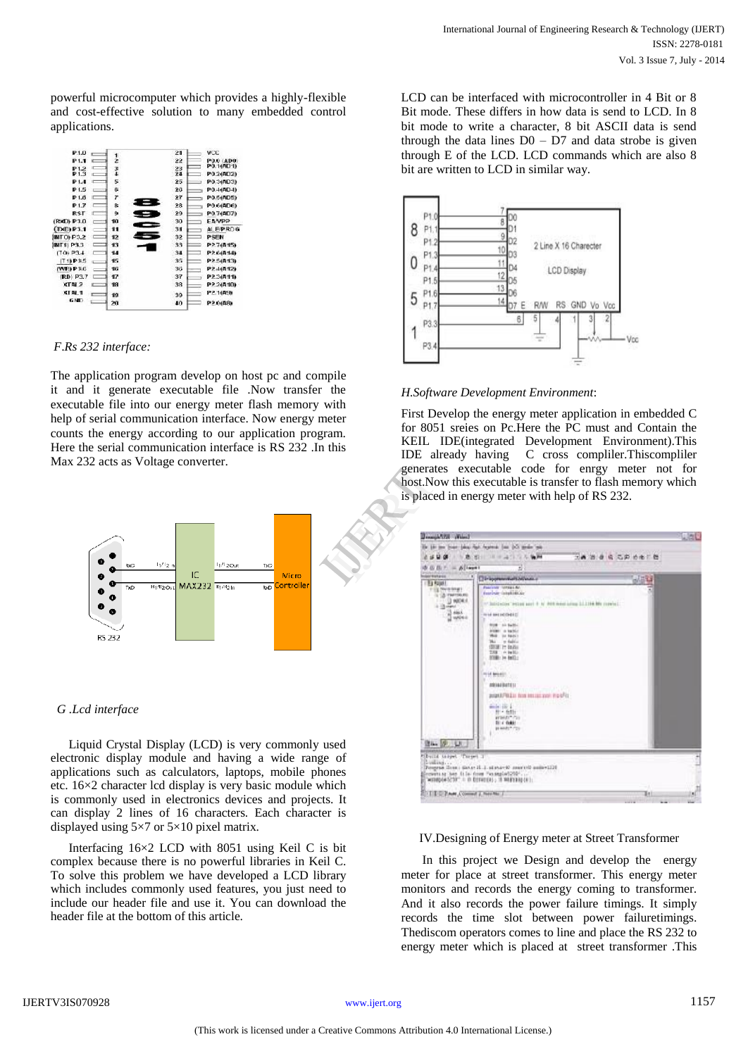powerful microcomputer which provides a highly-flexible and cost-effective solution to many embedded control applications.

| P1J                    |              | 21 | VCC          |
|------------------------|--------------|----|--------------|
| P <sub>1.1</sub>       | 2            | 22 | PO.0 (AD0)   |
| P <sub>12</sub>        | 3            | 23 | PO.1(AD1)    |
| P1.3                   |              | 24 | PO 2(AD2)    |
| P1.4                   | 5            | 25 | PO 3(AD3)    |
| P <sub>15</sub>        | 6            | 26 | P0.4(AD4)    |
| P1.6                   | 7            | 27 | P0.5(AD5)    |
| P <sub>1.7</sub>       | æ            | 23 | PO G(ADG)    |
| <b>RST</b>             | ٥            | 29 | P0.7(AD7)    |
| (RXD) P3.0             | 10           | 30 | <b>EAVPP</b> |
| $(TX \cap P3.1)$       | 11           | 31 | ALEPROG      |
| INTO P3.2              | 12           | 32 | <b>PSEN</b>  |
| <b>INT1 P3.3</b>       | 13           | 33 | P27(A15)     |
| (70.234)               | 14           | 34 | P2 6(A14)    |
| $[T1]$ P3.5            | 15           | 35 | P2.5(A13)    |
| (WE) P3.6              | 16           | 36 | P2 4(412)    |
| (RD) P3.7              | $\mathbf{r}$ | 37 | P2 3(A11)    |
| <b>XTN<sub>2</sub></b> | 18           | 38 | P2.2(A10)    |
| <b>XTAL1</b>           | 19           | 39 | P2.1(AS)     |
| GND                    | 20           | 40 | P2 0(A8)     |
|                        |              |    |              |

## *F*.*Rs 232 interface:*

The application program develop on host pc and compile it and it generate executable file .Now transfer the executable file into our energy meter flash memory with help of serial communication interface. Now energy meter counts the energy according to our application program. Here the serial communication interface is RS 232 .In this Max 232 acts as Voltage converter.



# *G .Lcd interface*

Liquid Crystal Display (LCD) is very commonly used electronic display module and having a wide range of applications such as calculators, laptops, mobile phones etc. 16×2 character lcd display is very basic module which is commonly used in electronics devices and projects. It can display 2 lines of 16 characters. Each character is displayed using 5×7 or 5×10 pixel matrix.

Interfacing 16×2 LCD with 8051 using Keil C is bit complex because there is no powerful libraries in Keil C. To solve this problem we have developed a LCD library which includes commonly used features, you just need to include our header file and use it. You can download the header file at the bottom of this article.

LCD can be interfaced with microcontroller in 4 Bit or 8 Bit mode. These differs in how data is send to LCD. In 8 bit mode to write a character, 8 bit ASCII data is send through the data lines  $D0 - D7$  and data strobe is given through E of the LCD. LCD commands which are also 8 bit are written to LCD in similar way.



# *H.Software Development Environment*:

First Develop the energy meter application in embedded C for 8051 sreies on Pc.Here the PC must and Contain the KEIL IDE(integrated Development Environment).This IDE already having C cross compliler.Thiscompliler generates executable code for enrgy meter not for host.Now this executable is transfer to flash memory which is placed in energy meter with help of RS 232. generates<br>host.Now<br>is placed i

| or wangers                      | Dir apprenential's historica                                  | <b>HABE</b> |
|---------------------------------|---------------------------------------------------------------|-------------|
| (15) Roler I<br>FILE DIVISIONS! | Policinas Integral Br.<br>function (single mode               |             |
| L'OLIVAINA PA<br>1.120000       | Wilstleiter Hitter seri il is den nesi sing 33,114 My mever). |             |
| <b>Changed</b><br>$3 + 1$       | <b>WHERE INVESTIGATION</b>                                    |             |
| <b>Q</b> which                  | <b>NORTH CARDS</b>                                            |             |
|                                 | <b>ASSIST IN BARRET</b><br>West for NANCY                     |             |
|                                 | Mar - w fadels<br>(\$530) 1m (a.2) (                          |             |
|                                 | THE PUMPES<br>1000 : 3n (mil.)                                |             |
|                                 |                                                               |             |
|                                 | rest treats.                                                  |             |
|                                 | 0914494111                                                    |             |
|                                 | BURNEPOLIS from MELLE yard Franchis                           |             |
|                                 | mile dir a<br>Birth Bellin                                    |             |
|                                 | <b>HOMES</b> FOR<br><b>Bird Galden</b>                        |             |
|                                 | parameter class                                               |             |
| <b>BAY 18 LET</b>               |                                                               |             |

# IV.Designing of Energy meter at Street Transformer

In this project we Design and develop the energy meter for place at street transformer. This energy meter monitors and records the energy coming to transformer. And it also records the power failure timings. It simply records the time slot between power failuretimings. Thediscom operators comes to line and place the RS 232 to energy meter which is placed at street transformer .This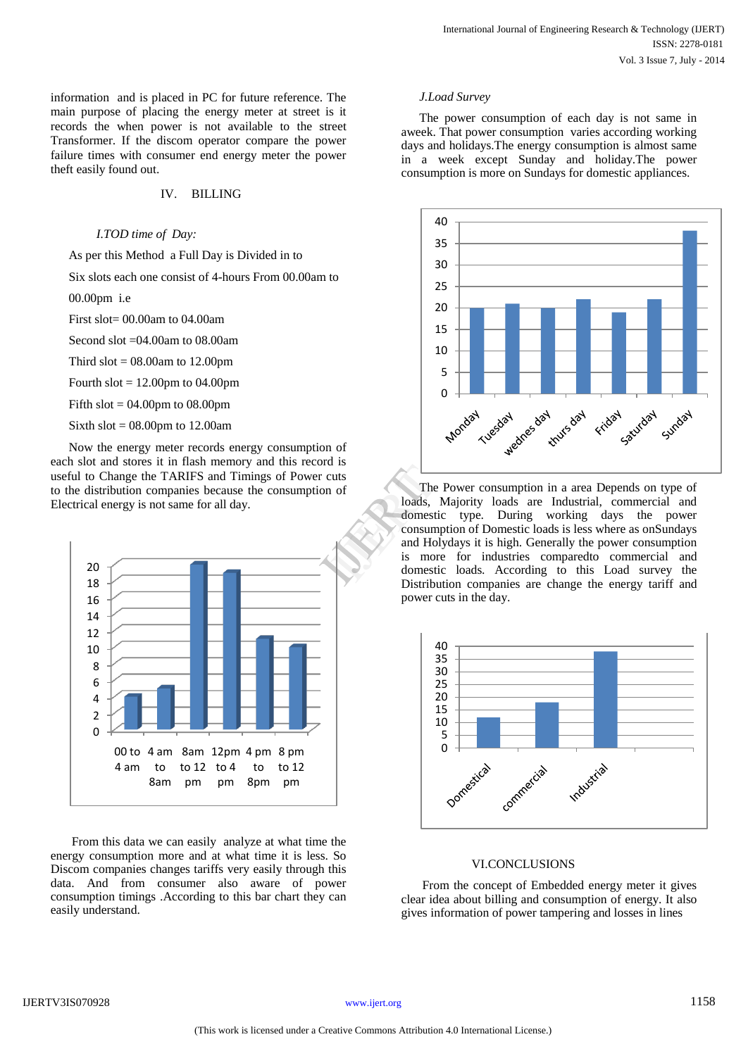information and is placed in PC for future reference. The main purpose of placing the energy meter at street is it records the when power is not available to the street Transformer. If the discom operator compare the power failure times with consumer end energy meter the power theft easily found out.

## IV. BILLING

## *I.TOD time of Day:*

As per this Method a Full Day is Divided in to

Six slots each one consist of 4-hours From 00.00am to

00.00pm i.e

First slot= 00.00am to 04.00am

Second slot =04.00am to 08.00am

Third  $slot = 08.00$ am to 12.00pm

Fourth slot  $= 12.00$ pm to 04.00pm

Fifth slot  $= 04.00$ pm to 08.00pm

Sixth slot  $= 08.00$ pm to 12.00am

Now the energy meter records energy consumption of each slot and stores it in flash memory and this record is useful to Change the TARIFS and Timings of Power cuts to the distribution companies because the consumption of Electrical energy is not same for all day.



From this data we can easily analyze at what time the energy consumption more and at what time it is less. So Discom companies changes tariffs very easily through this data. And from consumer also aware of power consumption timings .According to this bar chart they can easily understand.

#### *J.Load Survey*

The power consumption of each day is not same in aweek. That power consumption varies according working days and holidays.The energy consumption is almost same in a week except Sunday and holiday.The power consumption is more on Sundays for domestic appliances.



The Power consumption in a area Depends on type of loads, Majority loads are Industrial, commercial and domestic type. During working days the power consumption of Domestic loads is less where as onSundays and Holydays it is high. Generally the power consumption is more for industries comparedto commercial and domestic loads. According to this Load survey the Distribution companies are change the energy tariff and power cuts in the day. The P<br>
loads, M<br>
domestic<br>
consumpt<br>
and Holyv<br>
is more<br>
domestic<br>
Distributi



## VI.CONCLUSIONS

From the concept of Embedded energy meter it gives clear idea about billing and consumption of energy. It also gives information of power tampering and losses in lines